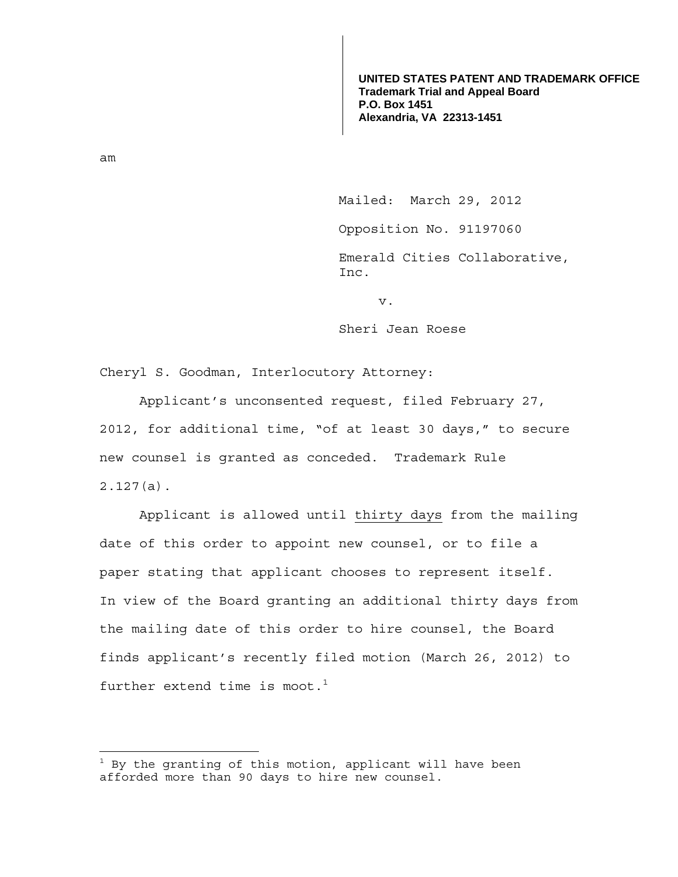**UNITED STATES PATENT AND TRADEMARK OFFICE Trademark Trial and Appeal Board P.O. Box 1451 Alexandria, VA 22313-1451**

am

—<br>—

Mailed: March 29, 2012

Opposition No. 91197060

 Emerald Cities Collaborative, Inc.

v.

Sheri Jean Roese

Cheryl S. Goodman, Interlocutory Attorney:

 Applicant's unconsented request, filed February 27, 2012, for additional time, "of at least 30 days," to secure new counsel is granted as conceded. Trademark Rule 2.127(a).

 Applicant is allowed until thirty days from the mailing date of this order to appoint new counsel, or to file a paper stating that applicant chooses to represent itself. In view of the Board granting an additional thirty days from the mailing date of this order to hire counsel, the Board finds applicant's recently filed motion (March 26, 2012) to further extend time is moot.<sup>1</sup>

 $^1$  By the granting of this motion, applicant will have been afforded more than 90 days to hire new counsel.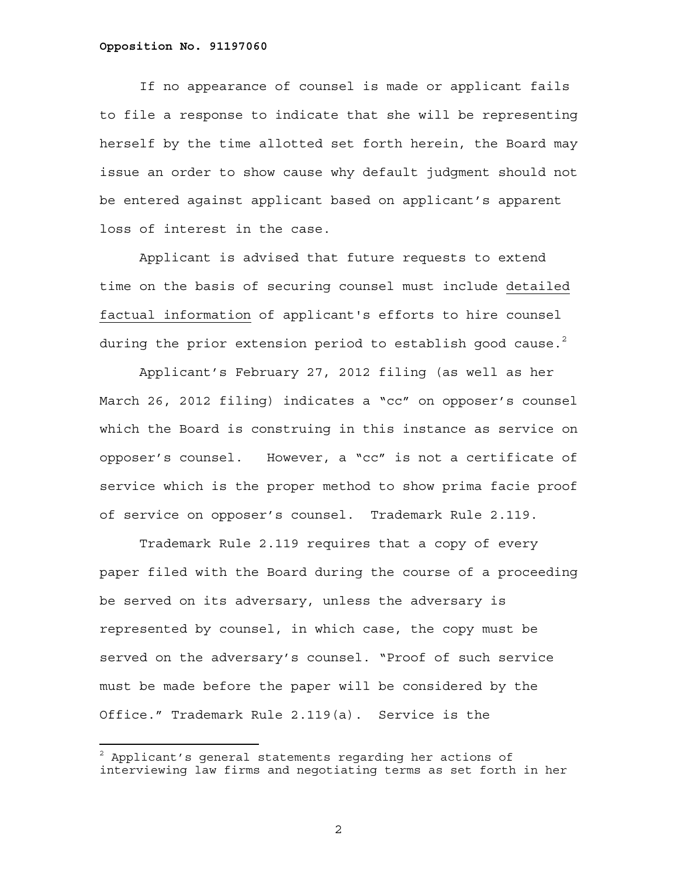## **Opposition No. 91197060**

 If no appearance of counsel is made or applicant fails to file a response to indicate that she will be representing herself by the time allotted set forth herein, the Board may issue an order to show cause why default judgment should not be entered against applicant based on applicant's apparent loss of interest in the case.

 Applicant is advised that future requests to extend time on the basis of securing counsel must include detailed factual information of applicant's efforts to hire counsel during the prior extension period to establish good cause. $^2$ 

 Applicant's February 27, 2012 filing (as well as her March 26, 2012 filing) indicates a "cc" on opposer's counsel which the Board is construing in this instance as service on opposer's counsel. However, a "cc" is not a certificate of service which is the proper method to show prima facie proof of service on opposer's counsel. Trademark Rule 2.119.

 Trademark Rule 2.119 requires that a copy of every paper filed with the Board during the course of a proceeding be served on its adversary, unless the adversary is represented by counsel, in which case, the copy must be served on the adversary's counsel. "Proof of such service must be made before the paper will be considered by the Office." Trademark Rule 2.119(a). Service is the

2

 $^2$  Applicant's general statements regarding her actions of interviewing law firms and negotiating terms as set forth in her